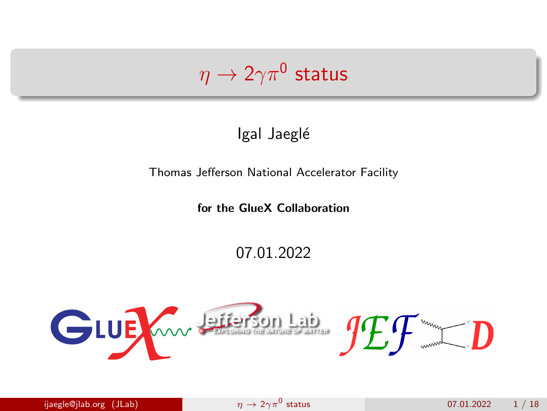# <span id="page-0-0"></span> $\eta\rightarrow 2\gamma\pi^0$  status

Igal Jaeglé

Thomas Jefferson National Accelerator Facility

for the GlueX Collaboration

07.01.2022

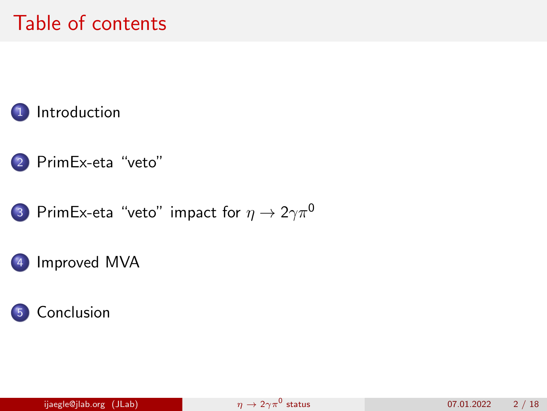## Table of contents



- 2 [PrimEx-eta "veto"](#page-3-0)
- 3 [PrimEx-eta "veto" impact for](#page-10-0)  $\eta \to 2\gamma \pi^0$ 
	- [Improved MVA](#page-15-0)

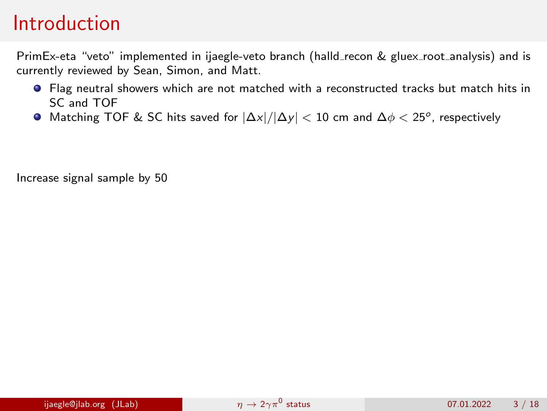### <span id="page-2-0"></span>Introduction

PrimEx-eta "veto" implemented in ijaegle-veto branch (halld\_recon & gluex\_root\_analysis) and is currently reviewed by Sean, Simon, and Matt.

- Flag neutral showers which are not matched with a reconstructed tracks but match hits in SC and TOF
- Matching TOF & SC hits saved for  $|\Delta x|/|\Delta y| < 10$  cm and  $\Delta \phi < 25^o$ , respectively

Increase signal sample by 50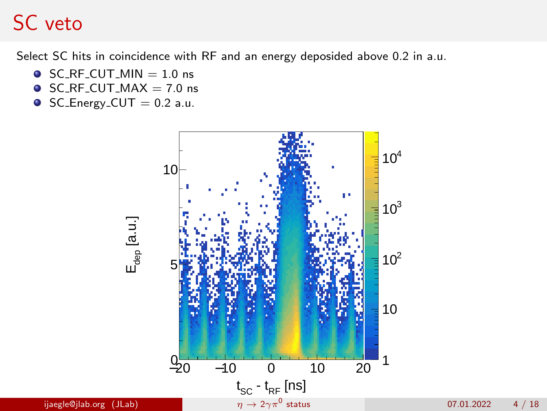<span id="page-3-0"></span>Select SC hits in coincidence with RF and an energy deposided above 0.2 in a.u.

- $\bullet$  SC\_RF\_CUT\_MIN = 1.0 ns
- $\bullet$  SC\_RF\_CUT\_MAX = 7.0 ns
- $\bullet$  SC\_Energy\_CUT = 0.2 a.u.



ijaegle@jlab.org (JLab)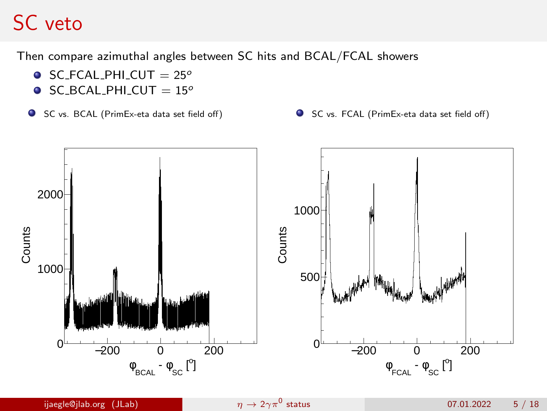Then compare azimuthal angles between SC hits and BCAL/FCAL showers

- $\bullet$  SC\_FCAL\_PHI\_CUT = 25°
- $\bullet$  SC\_BCAL\_PHI\_CUT = 15 $^{\circ}$
- SC vs. BCAL (PrimEx-eta data set field off) <br>● SC vs. FCAL (PrimEx-eta data set field off)
	-

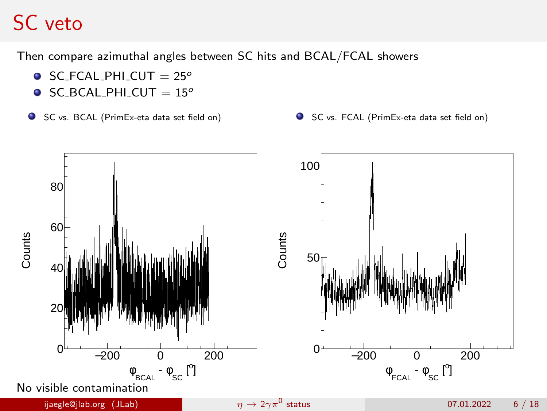Then compare azimuthal angles between SC hits and BCAL/FCAL showers

- $\bullet$  SC\_FCAL\_PHI\_CUT = 25°
- $\bullet$  SC\_BCAL\_PHI\_CUT = 15°
- SC vs. BCAL (PrimEx-eta data set field on) SC vs. FCAL (PrimEx-eta data set field on)
- 

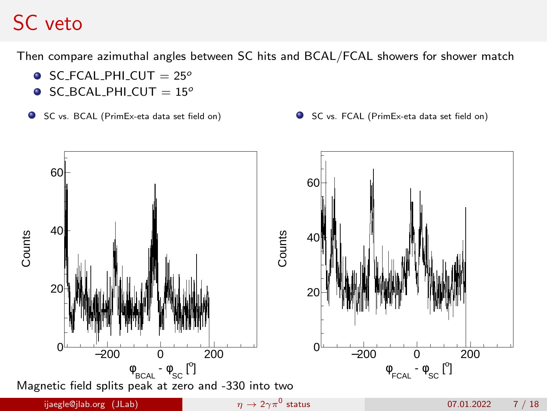Then compare azimuthal angles between SC hits and BCAL/FCAL showers for shower match

- $\bullet$  SC\_FCAL\_PHI\_CUT = 25°
- $\bullet$  SC\_BCAL\_PHI\_CUT = 15°
- SC vs. BCAL (PrimEx-eta data set field on) SC vs. FCAL (PrimEx-eta data set field on)
	-

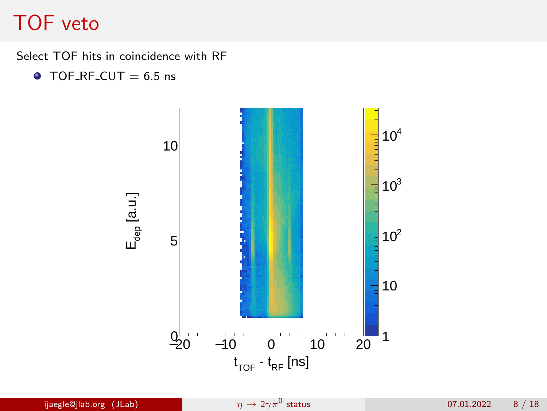#### TOF veto

Select TOF hits in coincidence with RF

 $\bullet$  TOF\_RF\_CUT = 6.5 ns

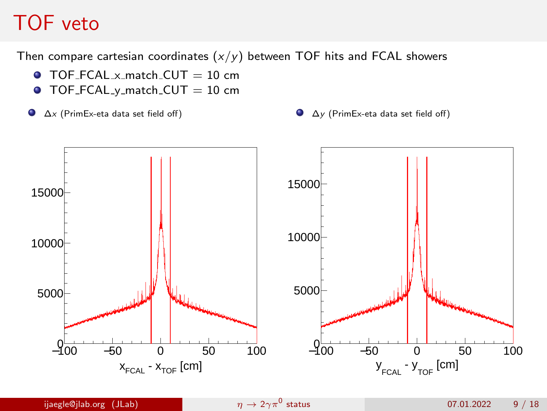## TOF veto

Then compare cartesian coordinates  $(x/y)$  between TOF hits and FCAL showers

- $\bullet$  TOF\_FCAL\_x\_match\_CUT = 10 cm
- $\bullet$  TOF\_FCAL\_y\_match\_CUT = 10 cm
- $\bullet$ 
	- ∆x (PrimEx-eta data set field off) ∆y (PrimEx-eta data set field off)

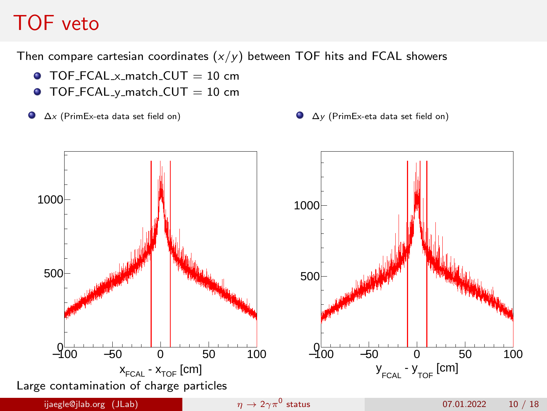## TOF veto

Then compare cartesian coordinates  $(x/y)$  between TOF hits and FCAL showers

- $\bullet$  TOF FCAL x match CUT = 10 cm
- $\bullet$  TOF\_FCAL\_y\_match\_CUT = 10 cm
- $\bullet$ 
	- $\Delta x$  (PrimEx-eta data set field on)  $\Delta y$  (PrimEx-eta data set field on)

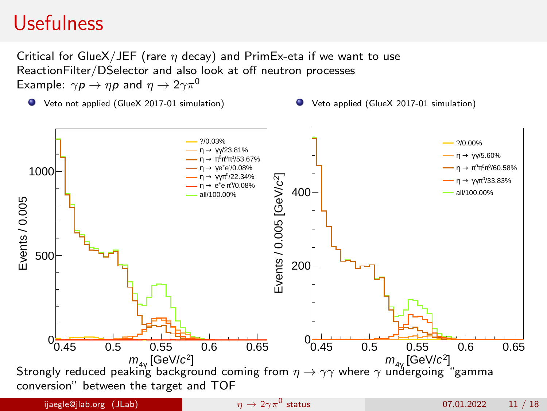### <span id="page-10-0"></span>Usefulness

Critical for GlueX/JEF (rare  $\eta$  decay) and PrimEx-eta if we want to use ReactionFilter/DSelector and also look at off neutron processes Example:  $\gamma p \to np$  and  $\eta \to 2\gamma \pi^0$ 

Veto not applied (GlueX 2017-01 simulation) Veto applied (GlueX 2017-01 simulation)

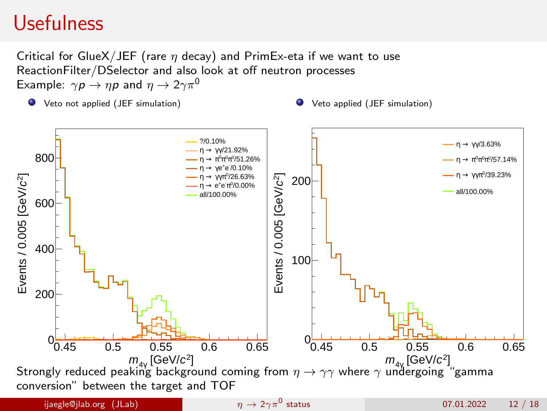### Usefulness

Critical for GlueX/JEF (rare  $\eta$  decay) and PrimEx-eta if we want to use ReactionFilter/DSelector and also look at off neutron processes Example:  $\gamma p \to np$  and  $\eta \to 2\gamma \pi^0$ 

Veto not applied (JEF simulation) Veto applied (JEF simulation)

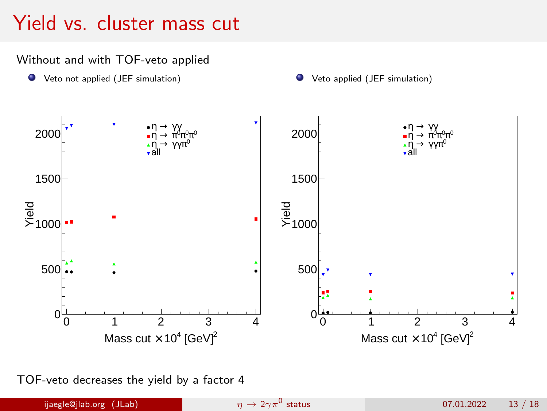## Yield vs. cluster mass cut

#### Without and with TOF-veto applied





TOF-veto decreases the yield by a factor 4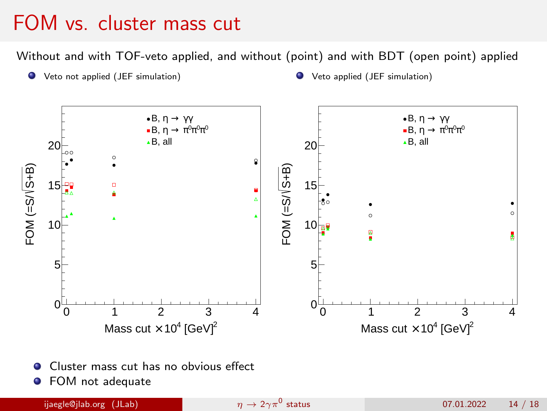## FOM vs. cluster mass cut

Without and with TOF-veto applied, and without (point) and with BDT (open point) applied



- Cluster mass cut has no obvious effect .
- **•** FOM not adequate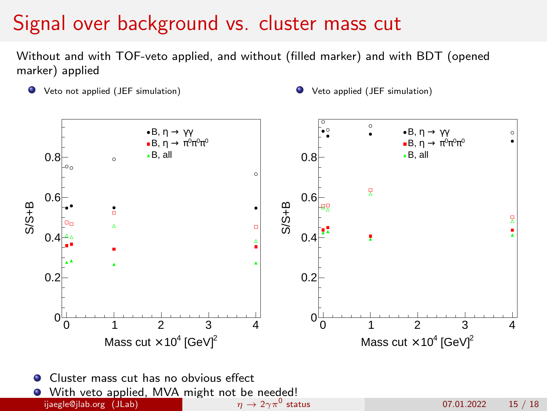## Signal over background vs. cluster mass cut

Without and with TOF-veto applied, and without (filled marker) and with BDT (opened marker) applied

- Veto not applied (JEF simulation) Veto applied (JEF simulation)
	-



ijaegle@jlab.org (JLab)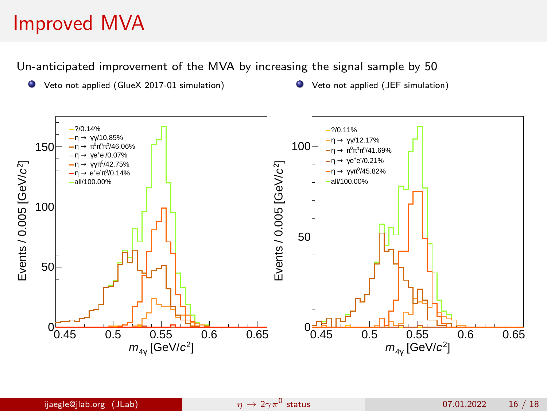## <span id="page-15-0"></span>Improved MVA

Un-anticipated improvement of the MVA by increasing the signal sample by 50

- Veto not applied (GlueX 2017-01 simulation) Veto not applied (JEF simulation)
	-

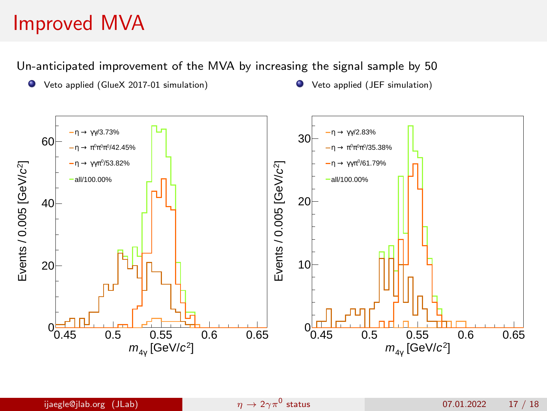## Improved MVA

Un-anticipated improvement of the MVA by increasing the signal sample by 50

- Veto applied (GlueX 2017-01 simulation) Veto applied (JEF simulation)
-